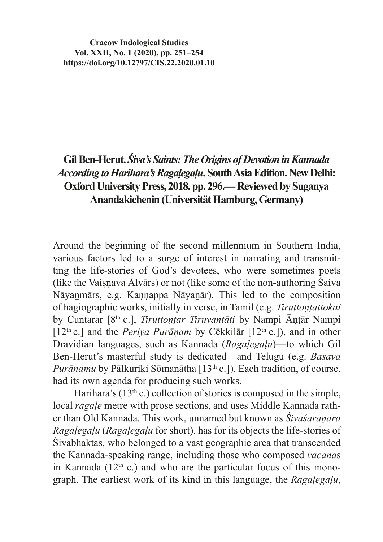**Cracow Indological Studies Vol. XXII, No. 1 (2020), pp. 251–254 https://doi.org/10.12797/CIS.22.2020.01.10**

## **Gil Ben-Herut.***Śiva's Saints: The Origins of Devotion in Kannada According to Harihara's Ragaḷegaḷu***. South Asia Edition. New Delhi: Oxford University Press, 2018. pp. 296.— Reviewed by Suganya Anandakichenin (Universität Hamburg, Germany)**

Around the beginning of the second millennium in Southern India, various factors led to a surge of interest in narrating and transmitting the life-stories of God's devotees, who were sometimes poets (like the Vaisnava  $\bar{A}$ lvārs) or not (like some of the non-authoring Śaiva Nāyaṉmārs, e.g. Kaṇṇappa Nāyaṉār). This led to the composition of hagiographic works, initially in verse, in Tamil (e.g. *Tiruttontattokai* by Cuntarar [8<sup>th</sup> c.], *Tiruttontar Tiruvantāti* by Nampi Āntār Nampi [12<sup>th</sup> c.] and the *Periya Purānam* by Cēkkilār [12<sup>th</sup> c.]), and in other Dravidian languages, such as Kannada (*Ragaḷegaḷu*)—to which Gil Ben-Herut's masterful study is dedicated—and Telugu (e.g. *Basava Purānamu* by Pālkuriki Sōmanātha [13<sup>th</sup> c.]). Each tradition, of course, had its own agenda for producing such works.

Harihara's  $(13<sup>th</sup> c.)$  collection of stories is composed in the simple, local *ragaḷe* metre with prose sections, and uses Middle Kannada rather than Old Kannada. This work, unnamed but known as *Śivaśaraṇara Ragaḷegaḷu* (*Ragaḷegaḷu* for short), has for its objects the life-stories of Śivabhaktas, who belonged to a vast geographic area that transcended the Kannada-speaking range, including those who composed *vacana*s in Kannada ( $12<sup>th</sup>$  c.) and who are the particular focus of this monograph. The earliest work of its kind in this language, the *Ragaḷegaḷu*,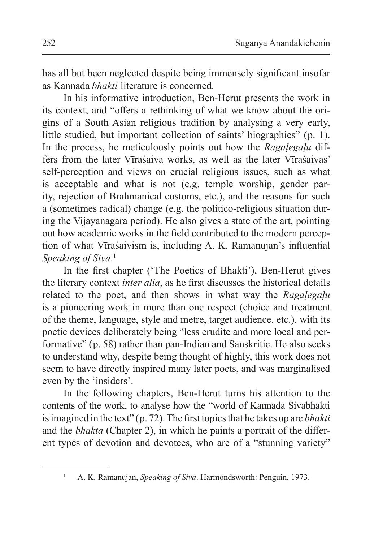has all but been neglected despite being immensely significant insofar as Kannada *bhakti* literature is concerned.

In his informative introduction, Ben-Herut presents the work in its context, and "offers a rethinking of what we know about the origins of a South Asian religious tradition by analysing a very early, little studied, but important collection of saints' biographies" (p. 1). In the process, he meticulously points out how the *Ragaḷegaḷu* differs from the later Vīraśaiva works, as well as the later Vīraśaivas' self-perception and views on crucial religious issues, such as what is acceptable and what is not (e.g. temple worship, gender parity, rejection of Brahmanical customs, etc.), and the reasons for such a (sometimes radical) change (e.g. the politico-religious situation during the Vijayanagara period). He also gives a state of the art, pointing out how academic works in the field contributed to the modern perception of what Vīraśaivism is, including A. K. Ramanujan's influential *Speaking of Siva*. 1

In the first chapter ('The Poetics of Bhakti'), Ben-Herut gives the literary context *inter alia*, as he first discusses the historical details related to the poet, and then shows in what way the *Ragaḷegaḷu* is a pioneering work in more than one respect (choice and treatment of the theme, language, style and metre, target audience, etc.), with its poetic devices deliberately being "less erudite and more local and performative" (p. 58) rather than pan-Indian and Sanskritic. He also seeks to understand why, despite being thought of highly, this work does not seem to have directly inspired many later poets, and was marginalised even by the 'insiders'.

In the following chapters, Ben-Herut turns his attention to the contents of the work, to analyse how the "world of Kannada Śivabhakti isimagined in the text" (p. 72). The first topics that he takes up are *bhakti*  and the *bhakta* (Chapter 2), in which he paints a portrait of the different types of devotion and devotees, who are of a "stunning variety"

<sup>&</sup>lt;sup>1</sup> A. K. Ramanujan, *Speaking of Siva*. Harmondsworth: Penguin, 1973.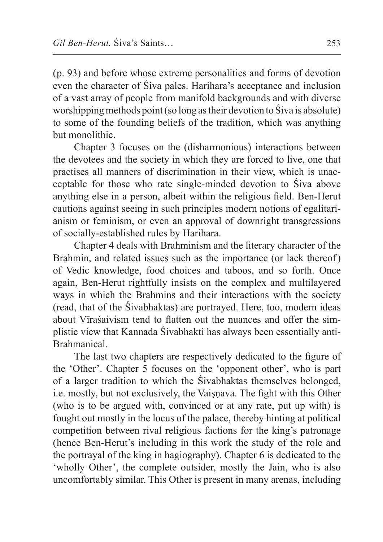(p. 93) and before whose extreme personalities and forms of devotion even the character of Śiva pales. Harihara's acceptance and inclusion of a vast array of people from manifold backgrounds and with diverse worshipping methods point (so long astheir devotion to Śiva is absolute) to some of the founding beliefs of the tradition, which was anything but monolithic.

Chapter 3 focuses on the (disharmonious) interactions between the devotees and the society in which they are forced to live, one that practises all manners of discrimination in their view, which is unacceptable for those who rate single-minded devotion to Śiva above anything else in a person, albeit within the religious field. Ben-Herut cautions against seeing in such principles modern notions of egalitarianism or feminism, or even an approval of downright transgressions of socially-established rules by Harihara.

Chapter 4 deals with Brahminism and the literary character of the Brahmin, and related issues such as the importance (or lack thereof) of Vedic knowledge, food choices and taboos, and so forth. Once again, Ben-Herut rightfully insists on the complex and multilayered ways in which the Brahmins and their interactions with the society (read, that of the Śivabhaktas) are portrayed. Here, too, modern ideas about Vīraśaivism tend to flatten out the nuances and offer the simplistic view that Kannada Śivabhakti has always been essentially anti-Brahmanical.

The last two chapters are respectively dedicated to the figure of the 'Other'. Chapter 5 focuses on the 'opponent other', who is part of a larger tradition to which the Śivabhaktas themselves belonged, i.e. mostly, but not exclusively, the Vaisnava. The fight with this Other (who is to be argued with, convinced or at any rate, put up with) is fought out mostly in the locus of the palace, thereby hinting at political competition between rival religious factions for the king's patronage (hence Ben-Herut's including in this work the study of the role and the portrayal of the king in hagiography). Chapter 6 is dedicated to the 'wholly Other', the complete outsider, mostly the Jain, who is also uncomfortably similar. This Other is present in many arenas, including